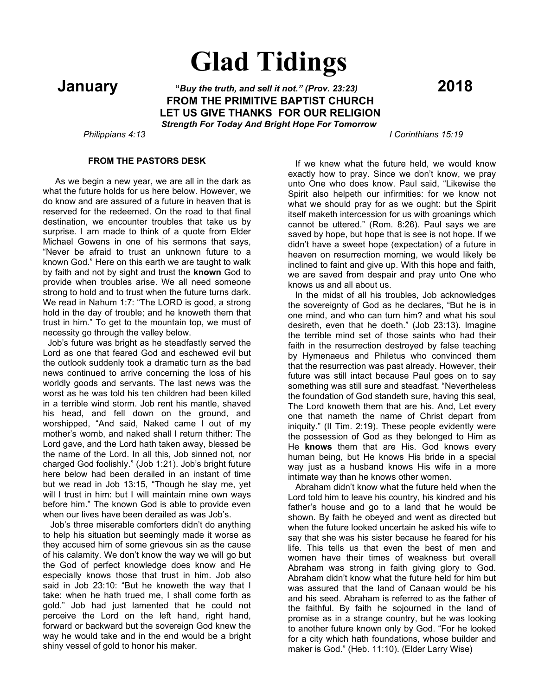# **Glad Tidings**

 **January "***Buy the truth, and sell it not." (Prov. 23:23)* **<sup>2018</sup> FROM THE PRIMITIVE BAPTIST CHURCH LET US GIVE THANKS FOR OUR RELIGION** *Strength For Today And Bright Hope For Tomorrow*

 *Philippians 4:13 I Corinthians 15:19*

# **FROM THE PASTORS DESK**

 As we begin a new year, we are all in the dark as what the future holds for us here below. However, we do know and are assured of a future in heaven that is reserved for the redeemed. On the road to that final destination, we encounter troubles that take us by surprise. I am made to think of a quote from Elder Michael Gowens in one of his sermons that says, "Never be afraid to trust an unknown future to a known God." Here on this earth we are taught to walk by faith and not by sight and trust the **known** God to provide when troubles arise. We all need someone strong to hold and to trust when the future turns dark. We read in Nahum 1:7: "The LORD is good, a strong hold in the day of trouble; and he knoweth them that trust in him." To get to the mountain top, we must of necessity go through the valley below.

 Job's future was bright as he steadfastly served the Lord as one that feared God and eschewed evil but the outlook suddenly took a dramatic turn as the bad news continued to arrive concerning the loss of his worldly goods and servants. The last news was the worst as he was told his ten children had been killed in a terrible wind storm. Job rent his mantle, shaved his head, and fell down on the ground, and worshipped, "And said, Naked came I out of my mother's womb, and naked shall I return thither: The Lord gave, and the Lord hath taken away, blessed be the name of the Lord. In all this, Job sinned not, nor charged God foolishly." (Job 1:21). Job's bright future here below had been derailed in an instant of time but we read in Job 13:15, "Though he slay me, yet will I trust in him: but I will maintain mine own ways before him." The known God is able to provide even when our lives have been derailed as was Job's.

 Job's three miserable comforters didn't do anything to help his situation but seemingly made it worse as they accused him of some grievous sin as the cause of his calamity. We don't know the way we will go but the God of perfect knowledge does know and He especially knows those that trust in him. Job also said in Job 23:10: "But he knoweth the way that I take: when he hath trued me, I shall come forth as gold." Job had just lamented that he could not perceive the Lord on the left hand, right hand, forward or backward but the sovereign God knew the way he would take and in the end would be a bright shiny vessel of gold to honor his maker.

 If we knew what the future held, we would know exactly how to pray. Since we don't know, we pray unto One who does know. Paul said, "Likewise the Spirit also helpeth our infirmities: for we know not what we should pray for as we ought: but the Spirit itself maketh intercession for us with groanings which cannot be uttered." (Rom. 8:26). Paul says we are saved by hope, but hope that is see is not hope. If we didn't have a sweet hope (expectation) of a future in heaven on resurrection morning, we would likely be inclined to faint and give up. With this hope and faith, we are saved from despair and pray unto One who knows us and all about us.

 In the midst of all his troubles, Job acknowledges the sovereignty of God as he declares, "But he is in one mind, and who can turn him? and what his soul desireth, even that he doeth." (Job 23:13). Imagine the terrible mind set of those saints who had their faith in the resurrection destroyed by false teaching by Hymenaeus and Philetus who convinced them that the resurrection was past already. However, their future was still intact because Paul goes on to say something was still sure and steadfast. "Nevertheless the foundation of God standeth sure, having this seal, The Lord knoweth them that are his. And, Let every one that nameth the name of Christ depart from iniquity." (II Tim. 2:19). These people evidently were the possession of God as they belonged to Him as He **knows** them that are His. God knows every human being, but He knows His bride in a special way just as a husband knows His wife in a more intimate way than he knows other women.

 Abraham didn't know what the future held when the Lord told him to leave his country, his kindred and his father's house and go to a land that he would be shown. By faith he obeyed and went as directed but when the future looked uncertain he asked his wife to say that she was his sister because he feared for his life. This tells us that even the best of men and women have their times of weakness but overall Abraham was strong in faith giving glory to God. Abraham didn't know what the future held for him but was assured that the land of Canaan would be his and his seed. Abraham is referred to as the father of the faithful. By faith he sojourned in the land of promise as in a strange country, but he was looking to another future known only by God. "For he looked for a city which hath foundations, whose builder and maker is God." (Heb. 11:10). (Elder Larry Wise)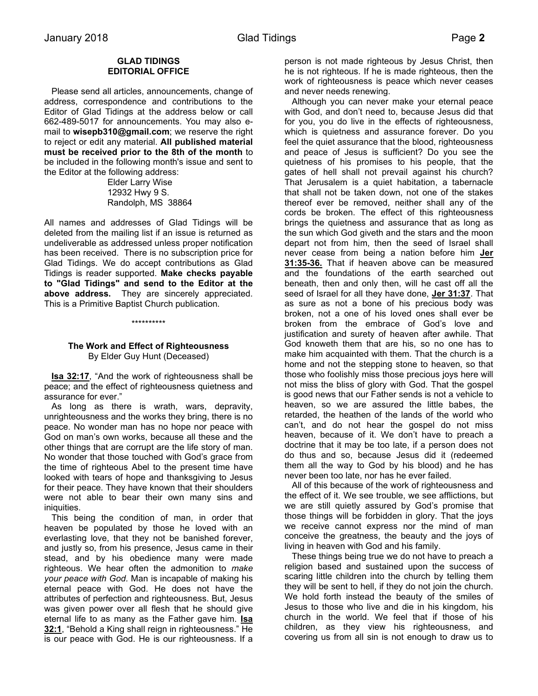### **GLAD TIDINGS EDITORIAL OFFICE**

 Please send all articles, announcements, change of address, correspondence and contributions to the Editor of Glad Tidings at the address below or call 662-489-5017 for announcements. You may also email to **wisepb310@gmail.com**; we reserve the right to reject or edit any material. **All published material must be received prior to the 8th of the month** to be included in the following month's issue and sent to the Editor at the following address:

> Elder Larry Wise 12932 Hwy 9 S. Randolph, MS 38864

All names and addresses of Glad Tidings will be deleted from the mailing list if an issue is returned as undeliverable as addressed unless proper notification has been received. There is no subscription price for Glad Tidings. We do accept contributions as Glad Tidings is reader supported. **Make checks payable to "Glad Tidings" and send to the Editor at the above address.** They are sincerely appreciated. This is a Primitive Baptist Church publication.

#### \*\*\*\*\*\*\*\*\*\*

# **The Work and Effect of Righteousness** By Elder Guy Hunt (Deceased)

 **Isa 32:17**, "And the work of righteousness shall be peace; and the effect of righteousness quietness and assurance for ever."

 As long as there is wrath, wars, depravity, unrighteousness and the works they bring, there is no peace. No wonder man has no hope nor peace with God on man's own works, because all these and the other things that are corrupt are the life story of man. No wonder that those touched with God's grace from the time of righteous Abel to the present time have looked with tears of hope and thanksgiving to Jesus for their peace. They have known that their shoulders were not able to bear their own many sins and iniquities.

 This being the condition of man, in order that heaven be populated by those he loved with an everlasting love, that they not be banished forever, and justly so, from his presence, Jesus came in their stead, and by his obedience many were made righteous. We hear often the admonition to *make your peace with God.* Man is incapable of making his eternal peace with God. He does not have the attributes of perfection and righteousness. But, Jesus was given power over all flesh that he should give eternal life to as many as the Father gave him. **Isa 32:1**, "Behold a King shall reign in righteousness." He is our peace with God. He is our righteousness. If a

person is not made righteous by Jesus Christ, then he is not righteous. If he is made righteous, then the work of righteousness is peace which never ceases and never needs renewing.

 Although you can never make your eternal peace with God, and don't need to, because Jesus did that for you, you do live in the effects of righteousness, which is quietness and assurance forever. Do you feel the quiet assurance that the blood, righteousness and peace of Jesus is sufficient? Do you see the quietness of his promises to his people, that the gates of hell shall not prevail against his church? That Jerusalem is a quiet habitation, a tabernacle that shall not be taken down, not one of the stakes thereof ever be removed, neither shall any of the cords be broken. The effect of this righteousness brings the quietness and assurance that as long as the sun which God giveth and the stars and the moon depart not from him, then the seed of Israel shall never cease from being a nation before him **Jer 31:35-36.** That if heaven above can be measured and the foundations of the earth searched out beneath, then and only then, will he cast off all the seed of Israel for all they have done, **Jer 31:37**. That as sure as not a bone of his precious body was broken, not a one of his loved ones shall ever be broken from the embrace of God's love and justification and surety of heaven after awhile. That God knoweth them that are his, so no one has to make him acquainted with them. That the church is a home and not the stepping stone to heaven, so that those who foolishly miss those precious joys here will not miss the bliss of glory with God. That the gospel is good news that our Father sends is not a vehicle to heaven, so we are assured the little babes, the retarded, the heathen of the lands of the world who can't, and do not hear the gospel do not miss heaven, because of it. We don't have to preach a doctrine that it may be too late, if a person does not do thus and so, because Jesus did it (redeemed them all the way to God by his blood) and he has never been too late, nor has he ever failed.

 All of this because of the work of righteousness and the effect of it. We see trouble, we see afflictions, but we are still quietly assured by God's promise that those things will be forbidden in glory. That the joys we receive cannot express nor the mind of man conceive the greatness, the beauty and the joys of living in heaven with God and his family.

 These things being true we do not have to preach a religion based and sustained upon the success of scaring little children into the church by telling them they will be sent to hell, if they do not join the church. We hold forth instead the beauty of the smiles of Jesus to those who live and die in his kingdom, his church in the world. We feel that if those of his children, as they view his righteousness, and covering us from all sin is not enough to draw us to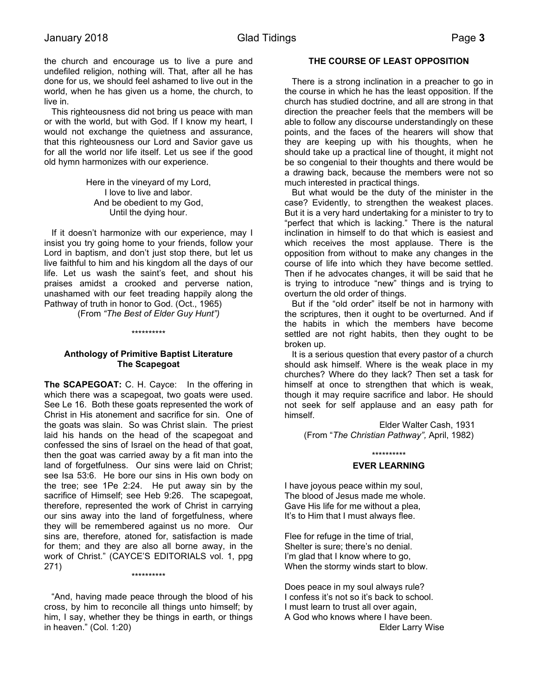the church and encourage us to live a pure and undefiled religion, nothing will. That, after all he has done for us, we should feel ashamed to live out in the world, when he has given us a home, the church, to live in.

 This righteousness did not bring us peace with man or with the world, but with God. If I know my heart, I would not exchange the quietness and assurance, that this righteousness our Lord and Savior gave us for all the world nor life itself. Let us see if the good old hymn harmonizes with our experience.

> Here in the vineyard of my Lord, I love to live and labor. And be obedient to my God, Until the dying hour.

 If it doesn't harmonize with our experience, may I insist you try going home to your friends, follow your Lord in baptism, and don't just stop there, but let us live faithful to him and his kingdom all the days of our life. Let us wash the saint's feet, and shout his praises amidst a crooked and perverse nation, unashamed with our feet treading happily along the Pathway of truth in honor to God. (Oct., 1965)

(From *"The Best of Elder Guy Hunt")*

\*\*\*\*\*\*\*\*\*\*

# **Anthology of Primitive Baptist Literature The Scapegoat**

**The SCAPEGOAT:** C. H. Cayce: In the offering in which there was a scapegoat, two goats were used. See Le 16. Both these goats represented the work of Christ in His atonement and sacrifice for sin. One of the goats was slain. So was Christ slain. The priest laid his hands on the head of the scapegoat and confessed the sins of Israel on the head of that goat, then the goat was carried away by a fit man into the land of forgetfulness. Our sins were laid on Christ; see Isa 53:6. He bore our sins in His own body on the tree; see 1Pe 2:24. He put away sin by the sacrifice of Himself; see Heb 9:26. The scapegoat, therefore, represented the work of Christ in carrying our sins away into the land of forgetfulness, where they will be remembered against us no more. Our sins are, therefore, atoned for, satisfaction is made for them; and they are also all borne away, in the work of Christ." (CAYCE'S EDITORIALS vol. 1, ppg 271) \*\*\*\*\*\*\*\*\*\*

 "And, having made peace through the blood of his cross, by him to reconcile all things unto himself; by him, I say, whether they be things in earth, or things in heaven." (Col. 1:20)

# **THE COURSE OF LEAST OPPOSITION**

 There is a strong inclination in a preacher to go in the course in which he has the least opposition. If the church has studied doctrine, and all are strong in that direction the preacher feels that the members will be able to follow any discourse understandingly on these points, and the faces of the hearers will show that they are keeping up with his thoughts, when he should take up a practical line of thought, it might not be so congenial to their thoughts and there would be a drawing back, because the members were not so much interested in practical things.

 But what would be the duty of the minister in the case? Evidently, to strengthen the weakest places. But it is a very hard undertaking for a minister to try to "perfect that which is lacking." There is the natural inclination in himself to do that which is easiest and which receives the most applause. There is the opposition from without to make any changes in the course of life into which they have become settled. Then if he advocates changes, it will be said that he is trying to introduce "new" things and is trying to overturn the old order of things.

 But if the "old order" itself be not in harmony with the scriptures, then it ought to be overturned. And if the habits in which the members have become settled are not right habits, then they ought to be broken up.

 It is a serious question that every pastor of a church should ask himself. Where is the weak place in my churches? Where do they lack? Then set a task for himself at once to strengthen that which is weak, though it may require sacrifice and labor. He should not seek for self applause and an easy path for himself.

Elder Walter Cash, 1931 (From "*The Christian Pathway",* April, 1982)

# \*\*\*\*\*\*\*\*\*\* **EVER LEARNING**

I have joyous peace within my soul, The blood of Jesus made me whole. Gave His life for me without a plea, It's to Him that I must always flee.

Flee for refuge in the time of trial, Shelter is sure; there's no denial. I'm glad that I know where to go, When the stormy winds start to blow.

Does peace in my soul always rule? I confess it's not so it's back to school. I must learn to trust all over again, A God who knows where I have been. Elder Larry Wise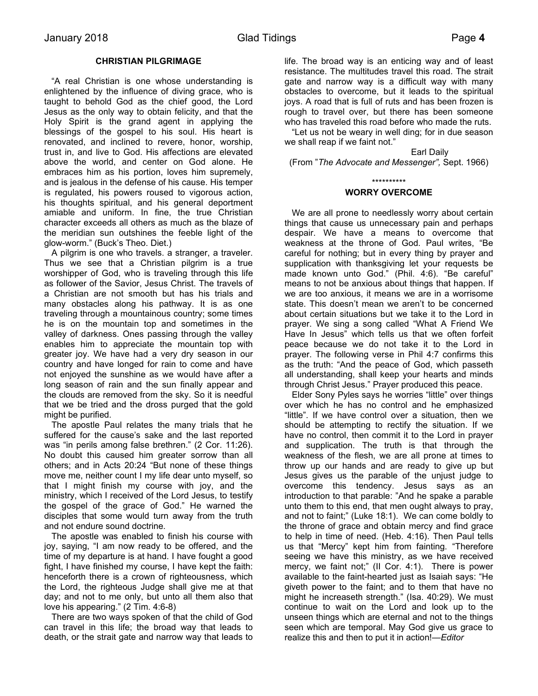# **CHRISTIAN PILGRIMAGE**

 "A real Christian is one whose understanding is enlightened by the influence of diving grace, who is taught to behold God as the chief good, the Lord Jesus as the only way to obtain felicity, and that the Holy Spirit is the grand agent in applying the blessings of the gospel to his soul. His heart is renovated, and inclined to revere, honor, worship, trust in, and live to God. His affections are elevated above the world, and center on God alone. He embraces him as his portion, loves him supremely, and is jealous in the defense of his cause. His temper is regulated, his powers roused to vigorous action, his thoughts spiritual, and his general deportment amiable and uniform. In fine, the true Christian character exceeds all others as much as the blaze of the meridian sun outshines the feeble light of the glow-worm." (Buck's Theo. Diet.)

 A pilgrim is one who travels. a stranger, a traveler. Thus we see that a Christian pilgrim is a true worshipper of God, who is traveling through this life as follower of the Savior, Jesus Christ. The travels of a Christian are not smooth but has his trials and many obstacles along his pathway. It is as one traveling through a mountainous country; some times he is on the mountain top and sometimes in the valley of darkness. Ones passing through the valley enables him to appreciate the mountain top with greater joy. We have had a very dry season in our country and have longed for rain to come and have not enjoyed the sunshine as we would have after a long season of rain and the sun finally appear and the clouds are removed from the sky. So it is needful that we be tried and the dross purged that the gold might be purified.

 The apostle Paul relates the many trials that he suffered for the cause's sake and the last reported was "in perils among false brethren." (2 Cor. 11:26). No doubt this caused him greater sorrow than all others; and in Acts 20:24 "But none of these things move me, neither count I my life dear unto myself, so that I might finish my course with joy, and the ministry, which I received of the Lord Jesus, to testify the gospel of the grace of God." He warned the disciples that some would turn away from the truth and not endure sound doctrine.

 The apostle was enabled to finish his course with joy, saying, "I am now ready to be offered, and the time of my departure is at hand. I have fought a good fight, I have finished my course, I have kept the faith: henceforth there is a crown of righteousness, which the Lord, the righteous Judge shall give me at that day; and not to me only, but unto all them also that love his appearing." (2 Tim. 4:6-8)

 There are two ways spoken of that the child of God can travel in this life; the broad way that leads to death, or the strait gate and narrow way that leads to

life. The broad way is an enticing way and of least resistance. The multitudes travel this road. The strait gate and narrow way is a difficult way with many obstacles to overcome, but it leads to the spiritual joys. A road that is full of ruts and has been frozen is rough to travel over, but there has been someone who has traveled this road before who made the ruts.

 "Let us not be weary in well ding; for in due season we shall reap if we faint not."

Earl Daily (From "*The Advocate and Messenger",* Sept. 1966)

\*\*\*\*\*\*\*\*\*\*

#### **WORRY OVERCOME**

 We are all prone to needlessly worry about certain things that cause us unnecessary pain and perhaps despair. We have a means to overcome that weakness at the throne of God. Paul writes, "Be careful for nothing; but in every thing by prayer and supplication with thanksgiving let your requests be made known unto God." (Phil. 4:6). "Be careful" means to not be anxious about things that happen. If we are too anxious, it means we are in a worrisome state. This doesn't mean we aren't to be concerned about certain situations but we take it to the Lord in prayer. We sing a song called "What A Friend We Have In Jesus" which tells us that we often forfeit peace because we do not take it to the Lord in prayer. The following verse in Phil 4:7 confirms this as the truth: "And the peace of God, which passeth all understanding, shall keep your hearts and minds through Christ Jesus." Prayer produced this peace.

 Elder Sony Pyles says he worries "little" over things over which he has no control and he emphasized "little". If we have control over a situation, then we should be attempting to rectify the situation. If we have no control, then commit it to the Lord in prayer and supplication. The truth is that through the weakness of the flesh, we are all prone at times to throw up our hands and are ready to give up but Jesus gives us the parable of the unjust judge to overcome this tendency. Jesus says as an introduction to that parable: "And he spake a parable unto them to this end, that men ought always to pray, and not to faint;" (Luke 18:1). We can come boldly to the throne of grace and obtain mercy and find grace to help in time of need. (Heb. 4:16). Then Paul tells us that "Mercy" kept him from fainting. "Therefore seeing we have this ministry, as we have received mercy, we faint not;" (II Cor. 4:1). There is power available to the faint-hearted just as Isaiah says: "He giveth power to the faint; and to them that have no might he increaseth strength." (Isa. 40:29). We must continue to wait on the Lord and look up to the unseen things which are eternal and not to the things seen which are temporal. May God give us grace to realize this and then to put it in action!*—Editor*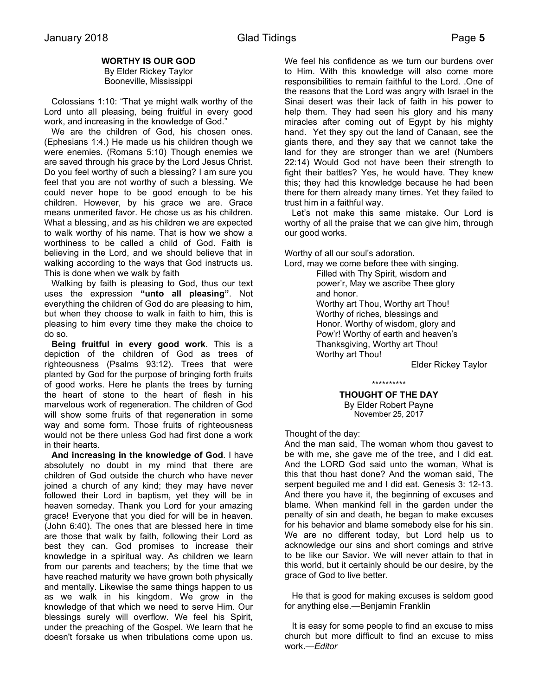# **WORTHY IS OUR GOD**

By Elder Rickey Taylor Booneville, Mississippi

 Colossians 1:10: "That ye might walk worthy of the Lord unto all pleasing, being fruitful in every good work, and increasing in the knowledge of God."

 We are the children of God, his chosen ones. (Ephesians 1:4.) He made us his children though we were enemies. (Romans 5:10) Though enemies we are saved through his grace by the Lord Jesus Christ. Do you feel worthy of such a blessing? I am sure you feel that you are not worthy of such a blessing. We could never hope to be good enough to be his children. However, by his grace we are. Grace means unmerited favor. He chose us as his children. What a blessing, and as his children we are expected to walk worthy of his name. That is how we show a worthiness to be called a child of God. Faith is believing in the Lord, and we should believe that in walking according to the ways that God instructs us. This is done when we walk by faith

 Walking by faith is pleasing to God, thus our text uses the expression **"unto all pleasing"**. Not everything the children of God do are pleasing to him, but when they choose to walk in faith to him, this is pleasing to him every time they make the choice to do so.

 **Being fruitful in every good work**. This is a depiction of the children of God as trees of righteousness (Psalms 93:12). Trees that were planted by God for the purpose of bringing forth fruits of good works. Here he plants the trees by turning the heart of stone to the heart of flesh in his marvelous work of regeneration. The children of God will show some fruits of that regeneration in some way and some form. Those fruits of righteousness would not be there unless God had first done a work in their hearts.

 **And increasing in the knowledge of God**. I have absolutely no doubt in my mind that there are children of God outside the church who have never joined a church of any kind; they may have never followed their Lord in baptism, yet they will be in heaven someday. Thank you Lord for your amazing grace! Everyone that you died for will be in heaven. (John 6:40). The ones that are blessed here in time are those that walk by faith, following their Lord as best they can. God promises to increase their knowledge in a spiritual way. As children we learn from our parents and teachers; by the time that we have reached maturity we have grown both physically and mentally. Likewise the same things happen to us as we walk in his kingdom. We grow in the knowledge of that which we need to serve Him. Our blessings surely will overflow. We feel his Spirit, under the preaching of the Gospel. We learn that he doesn't forsake us when tribulations come upon us.

We feel his confidence as we turn our burdens over to Him. With this knowledge will also come more responsibilities to remain faithful to the Lord. .One of the reasons that the Lord was angry with Israel in the Sinai desert was their lack of faith in his power to help them. They had seen his glory and his many miracles after coming out of Egypt by his mighty hand. Yet they spy out the land of Canaan, see the giants there, and they say that we cannot take the land for they are stronger than we are! (Numbers 22:14) Would God not have been their strength to fight their battles? Yes, he would have. They knew this; they had this knowledge because he had been there for them already many times. Yet they failed to trust him in a faithful way.

 Let's not make this same mistake. Our Lord is worthy of all the praise that we can give him, through our good works.

Worthy of all our soul's adoration.

Lord, may we come before thee with singing.

Filled with Thy Spirit, wisdom and power'r, May we ascribe Thee glory and honor. Worthy art Thou, Worthy art Thou! Worthy of riches, blessings and Honor. Worthy of wisdom, glory and Pow'r! Worthy of earth and heaven's Thanksgiving, Worthy art Thou! Worthy art Thou!

Elder Rickey Taylor

\*\*\*\*\*\*\*\*\*\*

**THOUGHT OF THE DAY** By Elder Robert Payne November 25, 2017

Thought of the day:

And the man said, The woman whom thou gavest to be with me, she gave me of the tree, and I did eat. And the LORD God said unto the woman, What is this that thou hast done? And the woman said, The serpent beguiled me and I did eat. Genesis 3: 12-13. And there you have it, the beginning of excuses and blame. When mankind fell in the garden under the penalty of sin and death, he began to make excuses for his behavior and blame somebody else for his sin. We are no different today, but Lord help us to acknowledge our sins and short comings and strive to be like our Savior. We will never attain to that in this world, but it certainly should be our desire, by the grace of God to live better.

 He that is good for making excuses is seldom good for anything else.—Benjamin Franklin

 It is easy for some people to find an excuse to miss church but more difficult to find an excuse to miss work.*—Editor*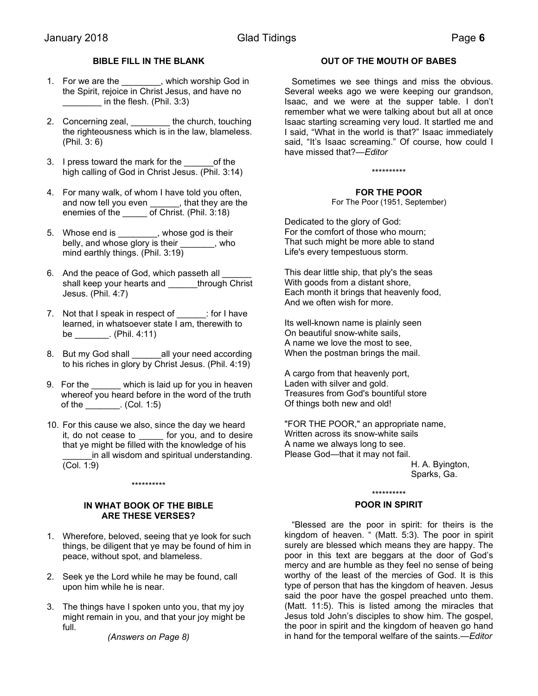# **BIBLE FILL IN THE BLANK**

- 1. For we are the \_\_\_\_\_\_\_, which worship God in the Spirit, rejoice in Christ Jesus, and have no in the flesh. (Phil. 3:3)
- 2. Concerning zeal, the church, touching the righteousness which is in the law, blameless. (Phil. 3: 6)
- 3. I press toward the mark for the \_\_\_\_\_\_of the high calling of God in Christ Jesus. (Phil. 3:14)
- 4. For many walk, of whom I have told you often, and now tell you even \_\_\_\_\_\_, that they are the enemies of the of Christ. (Phil. 3:18)
- 5. Whose end is \_\_\_\_\_\_\_\_, whose god is their belly, and whose glory is their \_\_\_\_\_\_\_, who mind earthly things. (Phil. 3:19)
- 6. And the peace of God, which passeth all shall keep your hearts and \_\_\_\_\_through Christ Jesus. (Phil. 4:7)
- 7. Not that I speak in respect of \_\_\_\_\_\_: for I have learned, in whatsoever state I am, therewith to be \_\_\_\_\_\_\_. (Phil. 4:11)
- 8. But my God shall all your need according to his riches in glory by Christ Jesus. (Phil. 4:19)
- 9. For the \_\_\_\_\_\_ which is laid up for you in heaven whereof you heard before in the word of the truth of the \_\_\_\_\_\_\_. (Col. 1:5)
- 10. For this cause we also, since the day we heard it, do not cease to \_\_\_\_\_ for you, and to desire that ye might be filled with the knowledge of his in all wisdom and spiritual understanding. (Col. 1:9)

#### \*\*\*\*\*\*\*\*\*\*

# **IN WHAT BOOK OF THE BIBLE ARE THESE VERSES?**

- 1. Wherefore, beloved, seeing that ye look for such things, be diligent that ye may be found of him in peace, without spot, and blameless.
- 2. Seek ye the Lord while he may be found, call upon him while he is near.
- 3. The things have I spoken unto you, that my joy might remain in you, and that your joy might be full.

*(Answers on Page 8)*

### **OUT OF THE MOUTH OF BABES**

 Sometimes we see things and miss the obvious. Several weeks ago we were keeping our grandson, Isaac, and we were at the supper table. I don't remember what we were talking about but all at once Isaac starting screaming very loud. It startled me and I said, "What in the world is that?" Isaac immediately said, "It's Isaac screaming." Of course, how could I have missed that?*—Editor* 

\*\*\*\*\*\*\*\*\*\*

#### **FOR THE POOR**

For The Poor (1951, September)

Dedicated to the glory of God: For the comfort of those who mourn; That such might be more able to stand Life's every tempestuous storm.

This dear little ship, that ply's the seas With goods from a distant shore, Each month it brings that heavenly food, And we often wish for more.

Its well-known name is plainly seen On beautiful snow-white sails, A name we love the most to see, When the postman brings the mail.

A cargo from that heavenly port, Laden with silver and gold. Treasures from God's bountiful store Of things both new and old!

"FOR THE POOR," an appropriate name, Written across its snow-white sails A name we always long to see. Please God—that it may not fail.

H. A. Byington, Sparks, Ga.

# \*\*\*\*\*\*\*\*\*\*

# **POOR IN SPIRIT**

 "Blessed are the poor in spirit: for theirs is the kingdom of heaven. " (Matt. 5:3). The poor in spirit surely are blessed which means they are happy. The poor in this text are beggars at the door of God's mercy and are humble as they feel no sense of being worthy of the least of the mercies of God. It is this type of person that has the kingdom of heaven. Jesus said the poor have the gospel preached unto them. (Matt. 11:5). This is listed among the miracles that Jesus told John's disciples to show him. The gospel, the poor in spirit and the kingdom of heaven go hand in hand for the temporal welfare of the saints.*—Editor*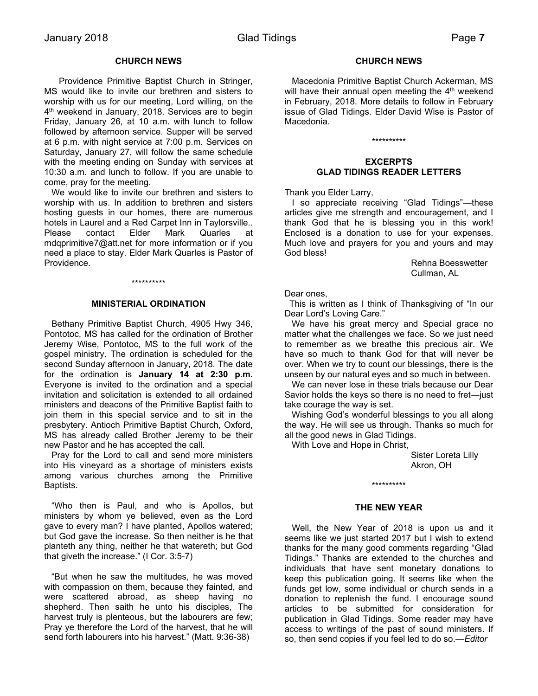#### **CHURCH NEWS**

 Providence Primitive Baptist Church in Stringer, MS would like to invite our brethren and sisters to worship with us for our meeting, Lord willing, on the 4<sup>th</sup> weekend in January, 2018. Services are to begin Friday, January 26, at 10 a.m. with lunch to follow followed by afternoon service. Supper will be served at 6 p.m. with night service at 7:00 p.m. Services on Saturday, January 27, will follow the same schedule with the meeting ending on Sunday with services at 10:30 a.m. and lunch to follow. If you are unable to come, pray for the meeting.

 We would like to invite our brethren and sisters to worship with us. In addition to brethren and sisters hosting guests in our homes, there are numerous hotels in Laurel and a Red Carpet Inn in Taylorsville.. Please contact Elder Mark Quarles at mdqprimitive7@att.net for more information or if you need a place to stay. Elder Mark Quarles is Pastor of Providence.

#### \*\*\*\*\*\*\*\*\*\*

#### **MINISTERIAL ORDINATION**

 Bethany Primitive Baptist Church, 4905 Hwy 346, Pontotoc, MS has called for the ordination of Brother Jeremy Wise, Pontotoc, MS to the full work of the gospel ministry. The ordination is scheduled for the second Sunday afternoon in January, 2018. The date for the ordination is **January 14 at 2:30 p.m.** Everyone is invited to the ordination and a special invitation and solicitation is extended to all ordained ministers and deacons of the Primitive Baptist faith to join them in this special service and to sit in the presbytery. Antioch Primitive Baptist Church, Oxford, MS has already called Brother Jeremy to be their new Pastor and he has accepted the call.

 Pray for the Lord to call and send more ministers into His vineyard as a shortage of ministers exists among various churches among the Primitive Baptists.

 "Who then is Paul, and who is Apollos, but ministers by whom ye believed, even as the Lord gave to every man? I have planted, Apollos watered; but God gave the increase. So then neither is he that planteth any thing, neither he that watereth; but God that giveth the increase." (I Cor. 3:5-7)

 "But when he saw the multitudes, he was moved with compassion on them, because they fainted, and were scattered abroad, as sheep having no shepherd. Then saith he unto his disciples, The harvest truly is plenteous, but the labourers are few; Pray ye therefore the Lord of the harvest, that he will send forth labourers into his harvest." (Matt. 9:36-38)

#### **CHURCH NEWS**

 Macedonia Primitive Baptist Church Ackerman, MS will have their annual open meeting the  $4<sup>th</sup>$  weekend in February, 2018. More details to follow in February issue of Glad Tidings. Elder David Wise is Pastor of Macedonia.

# \*\*\*\*\*\*\*\*\*\*

#### **EXCERPTS GLAD TIDINGS READER LETTERS**

Thank you Elder Larry,

 I so appreciate receiving "Glad Tidings"—these articles give me strength and encouragement, and I thank God that he is blessing you in this work! Enclosed is a donation to use for your expenses. Much love and prayers for you and yours and may God bless!

> Rehna Boesswetter Cullman, AL

Dear ones,

 This is written as I think of Thanksgiving of "In our Dear Lord's Loving Care."

 We have his great mercy and Special grace no matter what the challenges we face. So we just need to remember as we breathe this precious air. We have so much to thank God for that will never be over. When we try to count our blessings, there is the unseen by our natural eyes and so much in between.

 We can never lose in these trials because our Dear Savior holds the keys so there is no need to fret—just take courage the way is set.

 Wishing God's wonderful blessings to you all along the way. He will see us through. Thanks so much for all the good news in Glad Tidings.

With Love and Hope in Christ,

Sister Loreta Lilly Akron, OH

#### **THE NEW YEAR**

\*\*\*\*\*\*\*\*\*\*

 Well, the New Year of 2018 is upon us and it seems like we just started 2017 but I wish to extend thanks for the many good comments regarding "Glad Tidings." Thanks are extended to the churches and individuals that have sent monetary donations to keep this publication going. It seems like when the funds get low, some individual or church sends in a donation to replenish the fund. I encourage sound articles to be submitted for consideration for publication in Glad Tidings. Some reader may have access to writings of the past of sound ministers. If so, then send copies if you feel led to do so.*—Editor*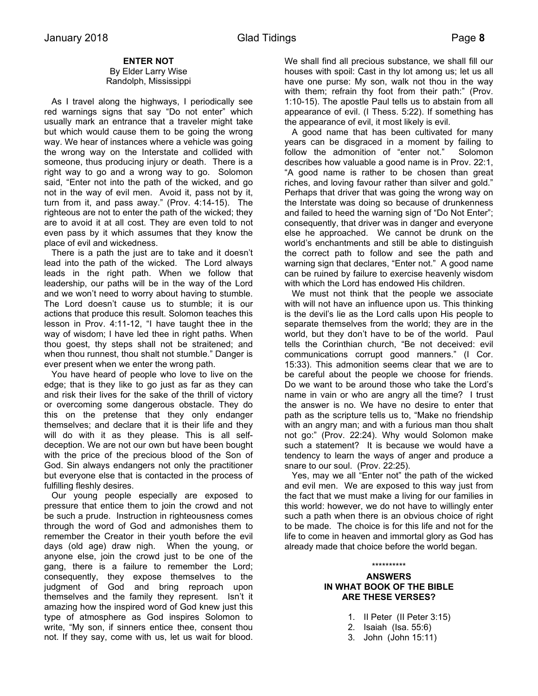# **ENTER NOT**

#### By Elder Larry Wise Randolph, Mississippi

 As I travel along the highways, I periodically see red warnings signs that say "Do not enter" which usually mark an entrance that a traveler might take but which would cause them to be going the wrong way. We hear of instances where a vehicle was going the wrong way on the Interstate and collided with someone, thus producing injury or death. There is a right way to go and a wrong way to go. Solomon said, "Enter not into the path of the wicked, and go not in the way of evil men. Avoid it, pass not by it, turn from it, and pass away." (Prov. 4:14-15). The righteous are not to enter the path of the wicked; they are to avoid it at all cost. They are even told to not even pass by it which assumes that they know the place of evil and wickedness.

 There is a path the just are to take and it doesn't lead into the path of the wicked. The Lord always leads in the right path. When we follow that leadership, our paths will be in the way of the Lord and we won't need to worry about having to stumble. The Lord doesn't cause us to stumble; it is our actions that produce this result. Solomon teaches this lesson in Prov. 4:11-12, "I have taught thee in the way of wisdom; I have led thee in right paths. When thou goest, thy steps shall not be straitened; and when thou runnest, thou shalt not stumble." Danger is ever present when we enter the wrong path.

 You have heard of people who love to live on the edge; that is they like to go just as far as they can and risk their lives for the sake of the thrill of victory or overcoming some dangerous obstacle. They do this on the pretense that they only endanger themselves; and declare that it is their life and they will do with it as they please. This is all selfdeception. We are not our own but have been bought with the price of the precious blood of the Son of God. Sin always endangers not only the practitioner but everyone else that is contacted in the process of fulfilling fleshly desires.

 Our young people especially are exposed to pressure that entice them to join the crowd and not be such a prude. Instruction in righteousness comes through the word of God and admonishes them to remember the Creator in their youth before the evil days (old age) draw nigh. When the young, or anyone else, join the crowd just to be one of the gang, there is a failure to remember the Lord; consequently, they expose themselves to the judgment of God and bring reproach upon themselves and the family they represent. Isn't it amazing how the inspired word of God knew just this type of atmosphere as God inspires Solomon to write, "My son, if sinners entice thee, consent thou not. If they say, come with us, let us wait for blood.

We shall find all precious substance, we shall fill our houses with spoil: Cast in thy lot among us; let us all have one purse: My son, walk not thou in the way with them; refrain thy foot from their path:" (Prov. 1:10-15). The apostle Paul tells us to abstain from all appearance of evil. (I Thess. 5:22). If something has the appearance of evil, it most likely is evil.

 A good name that has been cultivated for many years can be disgraced in a moment by failing to follow the admonition of "enter not." Solomon describes how valuable a good name is in Prov. 22:1, "A good name is rather to be chosen than great riches, and loving favour rather than silver and gold." Perhaps that driver that was going the wrong way on the Interstate was doing so because of drunkenness and failed to heed the warning sign of "Do Not Enter"; consequently, that driver was in danger and everyone else he approached. We cannot be drunk on the world's enchantments and still be able to distinguish the correct path to follow and see the path and warning sign that declares, "Enter not." A good name can be ruined by failure to exercise heavenly wisdom with which the Lord has endowed His children.

 We must not think that the people we associate with will not have an influence upon us. This thinking is the devil's lie as the Lord calls upon His people to separate themselves from the world; they are in the world, but they don't have to be of the world. Paul tells the Corinthian church, "Be not deceived: evil communications corrupt good manners." (I Cor. 15:33). This admonition seems clear that we are to be careful about the people we choose for friends. Do we want to be around those who take the Lord's name in vain or who are angry all the time? I trust the answer is no. We have no desire to enter that path as the scripture tells us to, "Make no friendship with an angry man; and with a furious man thou shalt not go:" (Prov. 22:24). Why would Solomon make such a statement? It is because we would have a tendency to learn the ways of anger and produce a snare to our soul. (Prov. 22:25).

 Yes, may we all "Enter not" the path of the wicked and evil men. We are exposed to this way just from the fact that we must make a living for our families in this world: however, we do not have to willingly enter such a path when there is an obvious choice of right to be made. The choice is for this life and not for the life to come in heaven and immortal glory as God has already made that choice before the world began.

#### \*\*\*\*\*\*\*\*\*\*

#### **ANSWERS IN WHAT BOOK OF THE BIBLE ARE THESE VERSES?**

- 1. II Peter (II Peter 3:15)
- 2. Isaiah (Isa. 55:6)
- 3. John (John 15:11)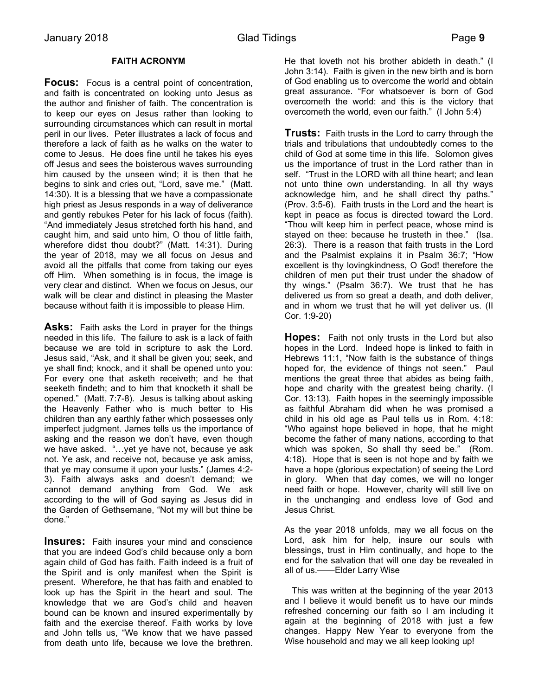# **FAITH ACRONYM**

**Focus:** Focus is a central point of concentration, and faith is concentrated on looking unto Jesus as the author and finisher of faith. The concentration is to keep our eyes on Jesus rather than looking to surrounding circumstances which can result in mortal peril in our lives. Peter illustrates a lack of focus and therefore a lack of faith as he walks on the water to come to Jesus. He does fine until he takes his eyes off Jesus and sees the boisterous waves surrounding him caused by the unseen wind; it is then that he begins to sink and cries out, "Lord, save me." (Matt. 14:30). It is a blessing that we have a compassionate high priest as Jesus responds in a way of deliverance and gently rebukes Peter for his lack of focus (faith). "And immediately Jesus stretched forth his hand, and caught him, and said unto him, O thou of little faith, wherefore didst thou doubt?" (Matt. 14:31). During the year of 2018, may we all focus on Jesus and avoid all the pitfalls that come from taking our eyes off Him. When something is in focus, the image is very clear and distinct. When we focus on Jesus, our walk will be clear and distinct in pleasing the Master because without faith it is impossible to please Him.

**Asks:** Faith asks the Lord in prayer for the things needed in this life. The failure to ask is a lack of faith because we are told in scripture to ask the Lord. Jesus said, "Ask, and it shall be given you; seek, and ye shall find; knock, and it shall be opened unto you: For every one that asketh receiveth; and he that seeketh findeth; and to him that knocketh it shall be opened." (Matt. 7:7-8). Jesus is talking about asking the Heavenly Father who is much better to His children than any earthly father which possesses only imperfect judgment. James tells us the importance of asking and the reason we don't have, even though we have asked. "…yet ye have not, because ye ask not. Ye ask, and receive not, because ye ask amiss, that ye may consume it upon your lusts." (James 4:2- 3). Faith always asks and doesn't demand; we cannot demand anything from God. We ask according to the will of God saying as Jesus did in the Garden of Gethsemane, "Not my will but thine be done."

**Insures:** Faith insures your mind and conscience that you are indeed God's child because only a born again child of God has faith. Faith indeed is a fruit of the Spirit and is only manifest when the Spirit is present. Wherefore, he that has faith and enabled to look up has the Spirit in the heart and soul. The knowledge that we are God's child and heaven bound can be known and insured experimentally by faith and the exercise thereof. Faith works by love and John tells us, "We know that we have passed from death unto life, because we love the brethren.

He that loveth not his brother abideth in death." (I John 3:14). Faith is given in the new birth and is born of God enabling us to overcome the world and obtain great assurance. "For whatsoever is born of God overcometh the world: and this is the victory that overcometh the world, even our faith." (I John 5:4)

**Trusts:** Faith trusts in the Lord to carry through the trials and tribulations that undoubtedly comes to the child of God at some time in this life. Solomon gives us the importance of trust in the Lord rather than in self. "Trust in the LORD with all thine heart; and lean not unto thine own understanding. In all thy ways acknowledge him, and he shall direct thy paths." (Prov. 3:5-6). Faith trusts in the Lord and the heart is kept in peace as focus is directed toward the Lord. "Thou wilt keep him in perfect peace, whose mind is stayed on thee: because he trusteth in thee." (Isa. 26:3). There is a reason that faith trusts in the Lord and the Psalmist explains it in Psalm 36:7; "How excellent is thy lovingkindness, O God! therefore the children of men put their trust under the shadow of thy wings." (Psalm 36:7). We trust that he has delivered us from so great a death, and doth deliver, and in whom we trust that he will yet deliver us. (II Cor. 1:9-20)

**Hopes:** Faith not only trusts in the Lord but also hopes in the Lord. Indeed hope is linked to faith in Hebrews 11:1, "Now faith is the substance of things hoped for, the evidence of things not seen." Paul mentions the great three that abides as being faith, hope and charity with the greatest being charity. (I Cor. 13:13). Faith hopes in the seemingly impossible as faithful Abraham did when he was promised a child in his old age as Paul tells us in Rom. 4:18: "Who against hope believed in hope, that he might become the father of many nations, according to that which was spoken, So shall thy seed be." (Rom. 4:18). Hope that is seen is not hope and by faith we have a hope (glorious expectation) of seeing the Lord in glory. When that day comes, we will no longer need faith or hope. However, charity will still live on in the unchanging and endless love of God and Jesus Christ.

As the year 2018 unfolds, may we all focus on the Lord, ask him for help, insure our souls with blessings, trust in Him continually, and hope to the end for the salvation that will one day be revealed in all of us.——Elder Larry Wise

 This was written at the beginning of the year 2013 and I believe it would benefit us to have our minds refreshed concerning our faith so I am including it again at the beginning of 2018 with just a few changes. Happy New Year to everyone from the Wise household and may we all keep looking up!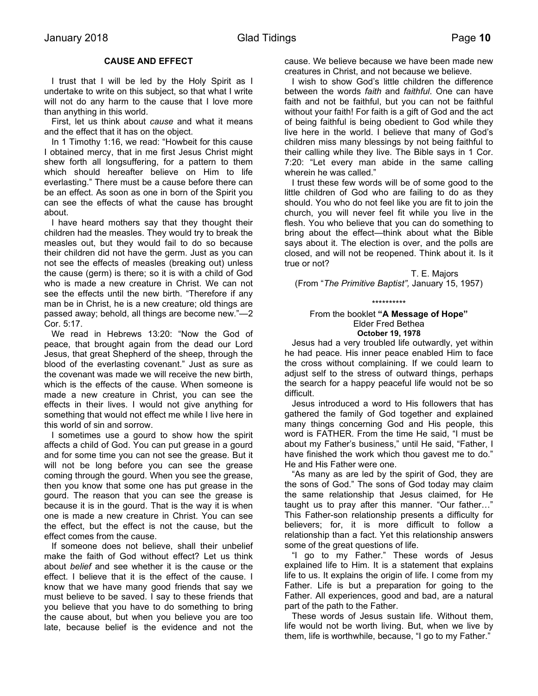# **CAUSE AND EFFECT**

 I trust that I will be led by the Holy Spirit as I undertake to write on this subject, so that what I write will not do any harm to the cause that I love more than anything in this world.

 First, let us think about *cause* and what it means and the effect that it has on the object.

 In 1 Timothy 1:16, we read: "Howbeit for this cause I obtained mercy, that in me first Jesus Christ might shew forth all longsuffering, for a pattern to them which should hereafter believe on Him to life everlasting." There must be a cause before there can be an effect. As soon as one in born of the Spirit you can see the effects of what the cause has brought about.

 I have heard mothers say that they thought their children had the measles. They would try to break the measles out, but they would fail to do so because their children did not have the germ. Just as you can not see the effects of measles (breaking out) unless the cause (germ) is there; so it is with a child of God who is made a new creature in Christ. We can not see the effects until the new birth. "Therefore if any man be in Christ, he is a new creature; old things are passed away; behold, all things are become new."—2 Cor. 5:17.

 We read in Hebrews 13:20: "Now the God of peace, that brought again from the dead our Lord Jesus, that great Shepherd of the sheep, through the blood of the everlasting covenant." Just as sure as the covenant was made we will receive the new birth, which is the effects of the cause. When someone is made a new creature in Christ, you can see the effects in their lives. I would not give anything for something that would not effect me while I live here in this world of sin and sorrow.

 I sometimes use a gourd to show how the spirit affects a child of God. You can put grease in a gourd and for some time you can not see the grease. But it will not be long before you can see the grease coming through the gourd. When you see the grease, then you know that some one has put grease in the gourd. The reason that you can see the grease is because it is in the gourd. That is the way it is when one is made a new creature in Christ. You can see the effect, but the effect is not the cause, but the effect comes from the cause.

 If someone does not believe, shall their unbelief make the faith of God without effect? Let us think about *belief* and see whether it is the cause or the effect. I believe that it is the effect of the cause. I know that we have many good friends that say we must believe to be saved. I say to these friends that you believe that you have to do something to bring the cause about, but when you believe you are too late, because belief is the evidence and not the

cause. We believe because we have been made new creatures in Christ, and not because we believe.

 I wish to show God's little children the difference between the words *faith* and *faithful*. One can have faith and not be faithful, but you can not be faithful without your faith! For faith is a gift of God and the act of being faithful is being obedient to God while they live here in the world. I believe that many of God's children miss many blessings by not being faithful to their calling while they live. The Bible says in 1 Cor. 7:20: "Let every man abide in the same calling wherein he was called."

 I trust these few words will be of some good to the little children of God who are failing to do as they should. You who do not feel like you are fit to join the church, you will never feel fit while you live in the flesh. You who believe that you can do something to bring about the effect—think about what the Bible says about it. The election is over, and the polls are closed, and will not be reopened. Think about it. Is it true or not?

T. E. Majors (From "*The Primitive Baptist",* January 15, 1957)

\*\*\*\*\*\*\*\*\*\*

#### From the booklet **"A Message of Hope"** Elder Fred Bethea **October 19, 1978**

 Jesus had a very troubled life outwardly, yet within he had peace. His inner peace enabled Him to face the cross without complaining. If we could learn to adjust self to the stress of outward things, perhaps the search for a happy peaceful life would not be so difficult.

 Jesus introduced a word to His followers that has gathered the family of God together and explained many things concerning God and His people, this word is FATHER. From the time He said, "I must be about my Father's business," until He said, "Father, I have finished the work which thou gavest me to do." He and His Father were one.

 "As many as are led by the spirit of God, they are the sons of God." The sons of God today may claim the same relationship that Jesus claimed, for He taught us to pray after this manner. "Our father…" This Father-son relationship presents a difficulty for believers; for, it is more difficult to follow a relationship than a fact. Yet this relationship answers some of the great questions of life.

 "I go to my Father." These words of Jesus explained life to Him. It is a statement that explains life to us. It explains the origin of life. I come from my Father. Life is but a preparation for going to the Father. All experiences, good and bad, are a natural part of the path to the Father.

 These words of Jesus sustain life. Without them, life would not be worth living. But, when we live by them, life is worthwhile, because, "I go to my Father."